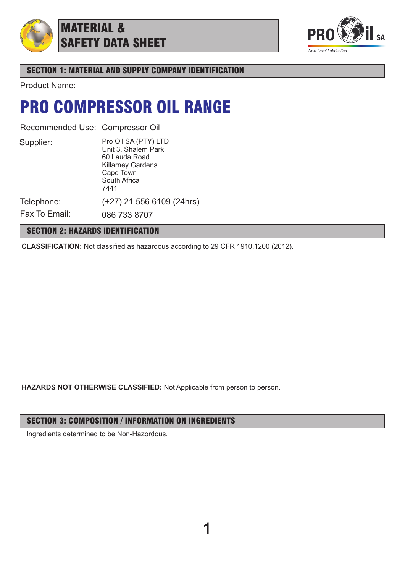

## MATERIAL & SAFETY DATA SHEET



## SECTION 1: MATERIAL AND SUPPLY COMPANY IDENTIFICATION

Product Name:

## PRO COMPRESSOR OIL RANGE

Recommended Use: Compressor Oil

Supplier:

Pro Oil SA (PTY) LTD Unit 3, Shalem Park 60 Lauda Road Killarney Gardens

Cape Town South Africa

7441

Telephone:

(+27) 21 556 6109 (24hrs)

Fax To Email: 086 733 8707

## SECTION 2: HAZARDS IDENTIFICATION

**CLASSIFICATION:** Not classified as hazardous according to 29 CFR 1910.1200 (2012).

**HAZARDS NOT OTHERWISE CLASSIFIED:** Not Applicable from person to person.

## SECTION 3: COMPOSITION / INFORMATION ON INGREDIENTS

Ingredients determined to be Non-Hazordous.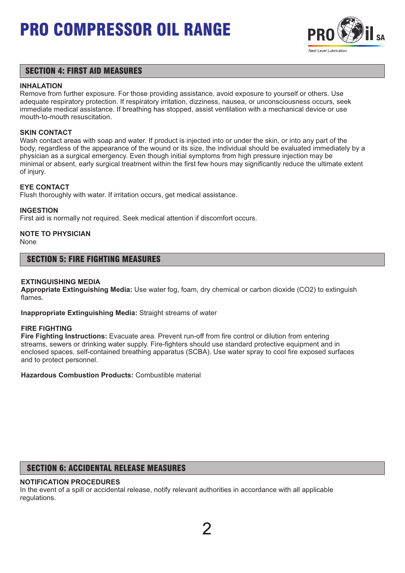

### SECTION 4: FIRST AID MEASURES

#### **INHALATION**

Remove from further exposure. For those providing assistance, avoid exposure to yourself or others. Use adequate respiratory protection. If respiratory irritation, dizziness, nausea, or unconsciousness occurs, seek immediate medical assistance. If breathing has stopped, assist ventilation with a mechanical device or use mouth-to-mouth resuscitation.

#### **SKIN CONTACT**

Wash contact areas with soap and water. If product is injected into or under the skin, or into any part of the body, regardless of the appearance of the wound or its size, the individual should be evaluated immediately by a physician as a surgical emergency. Even though initial symptoms from high pressure injection may be minimal or absent, early surgical treatment within the first few hours may significantly reduce the ultimate extent of injury.

#### **EYE CONTACT**

Flush thoroughly with water. If irritation occurs, get medical assistance.

#### **INGESTION**

First aid is normally not required. Seek medical attention if discomfort occurs.

## **NOTE TO PHYSICIAN**

None

#### SECTION 5: FIRE FIGHTING MEASURES

#### **EXTINGUISHING MEDIA**

**Appropriate Extinguishing Media:** Use water fog, foam, dry chemical or carbon dioxide (CO2) to extinguish flames.

**Inappropriate Extinguishing Media:** Straight streams of water

#### **FIRE FIGHTING**

**Fire Fighting Instructions:** Evacuate area. Prevent run-off from fire control or dilution from entering streams, sewers or drinking water supply. Fire-fighters should use standard protective equipment and in enclosed spaces, self-contained breathing apparatus (SCBA). Use water spray to cool fire exposed surfaces and to protect personnel.

**Hazardous Combustion Products:** Combustible material

## SECTION 6: ACCIDENTAL RELEASE MEASURES

#### **NOTIFICATION PROCEDURES**

In the event of a spill or accidental release, notify relevant authorities in accordance with all applicable regulations.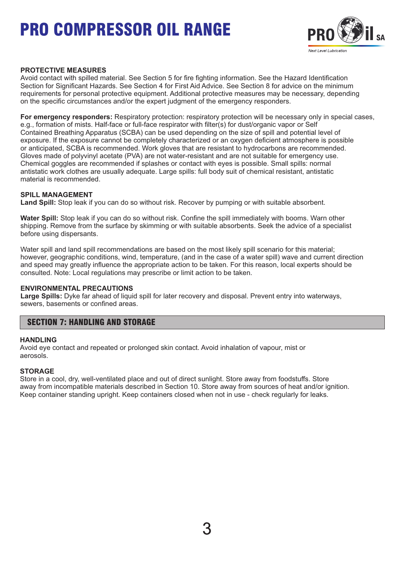

#### **PROTECTIVE MEASURES**

Avoid contact with spilled material. See Section 5 for fire fighting information. See the Hazard Identification Section for Significant Hazards. See Section 4 for First Aid Advice. See Section 8 for advice on the minimum requirements for personal protective equipment. Additional protective measures may be necessary, depending on the specific circumstances and/or the expert judgment of the emergency responders.

**For emergency responders:** Respiratory protection: respiratory protection will be necessary only in special cases, e.g., formation of mists. Half-face or full-face respirator with filter(s) for dust/organic vapor or Self Contained Breathing Apparatus (SCBA) can be used depending on the size of spill and potential level of exposure. If the exposure cannot be completely characterized or an oxygen deficient atmosphere is possible or anticipated, SCBA is recommended. Work gloves that are resistant to hydrocarbons are recommended. Gloves made of polyvinyl acetate (PVA) are not water-resistant and are not suitable for emergency use. Chemical goggles are recommended if splashes or contact with eyes is possible. Small spills: normal antistatic work clothes are usually adequate. Large spills: full body suit of chemical resistant, antistatic material is recommended.

#### **SPILL MANAGEMENT**

**Land Spill:** Stop leak if you can do so without risk. Recover by pumping or with suitable absorbent.

**Water Spill:** Stop leak if you can do so without risk. Confine the spill immediately with booms. Warn other shipping. Remove from the surface by skimming or with suitable absorbents. Seek the advice of a specialist before using dispersants.

Water spill and land spill recommendations are based on the most likely spill scenario for this material; however, geographic conditions, wind, temperature, (and in the case of a water spill) wave and current direction and speed may greatly influence the appropriate action to be taken. For this reason, local experts should be consulted. Note: Local regulations may prescribe or limit action to be taken.

#### **ENVIRONMENTAL PRECAUTIONS**

**Large Spills:** Dyke far ahead of liquid spill for later recovery and disposal. Prevent entry into waterways, sewers, basements or confined areas.

#### SECTION 7: HANDLING AND STORAGE

#### **HANDLING**

Avoid eye contact and repeated or prolonged skin contact. Avoid inhalation of vapour, mist or aerosols.

#### **STORAGE**

Store in a cool, dry, well-ventilated place and out of direct sunlight. Store away from foodstuffs. Store away from incompatible materials described in Section 10. Store away from sources of heat and/or ignition. Keep container standing upright. Keep containers closed when not in use - check regularly for leaks.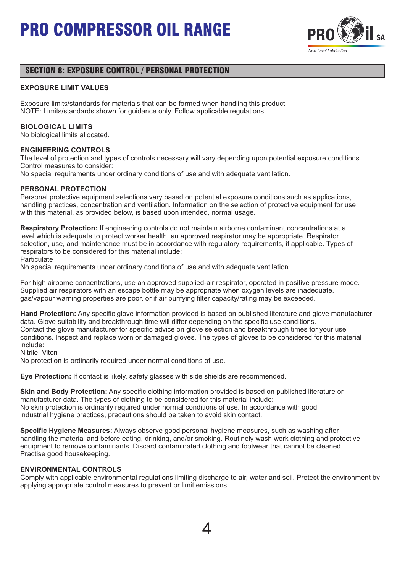

## SECTION 8: EXPOSURE CONTROL / PERSONAL PROTECTION

#### **EXPOSURE LIMIT VALUES**

Exposure limits/standards for materials that can be formed when handling this product: NOTE: Limits/standards shown for guidance only. Follow applicable regulations.

#### **BIOLOGICAL LIMITS**

No biological limits allocated.

#### **ENGINEERING CONTROLS**

The level of protection and types of controls necessary will vary depending upon potential exposure conditions. Control measures to consider:

No special requirements under ordinary conditions of use and with adequate ventilation.

#### **PERSONAL PROTECTION**

Personal protective equipment selections vary based on potential exposure conditions such as applications, handling practices, concentration and ventilation. Information on the selection of protective equipment for use with this material, as provided below, is based upon intended, normal usage.

**Respiratory Protection:** If engineering controls do not maintain airborne contaminant concentrations at a level which is adequate to protect worker health, an approved respirator may be appropriate. Respirator selection, use, and maintenance must be in accordance with regulatory requirements, if applicable. Types of respirators to be considered for this material include:

**Particulate** 

No special requirements under ordinary conditions of use and with adequate ventilation.

For high airborne concentrations, use an approved supplied-air respirator, operated in positive pressure mode. Supplied air respirators with an escape bottle may be appropriate when oxygen levels are inadequate, gas/vapour warning properties are poor, or if air purifying filter capacity/rating may be exceeded.

**Hand Protection:** Any specific glove information provided is based on published literature and glove manufacturer data. Glove suitability and breakthrough time will differ depending on the specific use conditions. Contact the glove manufacturer for specific advice on glove selection and breakthrough times for your use conditions. Inspect and replace worn or damaged gloves. The types of gloves to be considered for this material include:

Nitrile, Viton

No protection is ordinarily required under normal conditions of use.

**Eye Protection:** If contact is likely, safety glasses with side shields are recommended.

**Skin and Body Protection:** Any specific clothing information provided is based on published literature or manufacturer data. The types of clothing to be considered for this material include: No skin protection is ordinarily required under normal conditions of use. In accordance with good industrial hygiene practices, precautions should be taken to avoid skin contact.

**Specific Hygiene Measures:** Always observe good personal hygiene measures, such as washing after handling the material and before eating, drinking, and/or smoking. Routinely wash work clothing and protective equipment to remove contaminants. Discard contaminated clothing and footwear that cannot be cleaned. Practise good housekeeping.

#### **ENVIRONMENTAL CONTROLS**

Comply with applicable environmental regulations limiting discharge to air, water and soil. Protect the environment by applying appropriate control measures to prevent or limit emissions.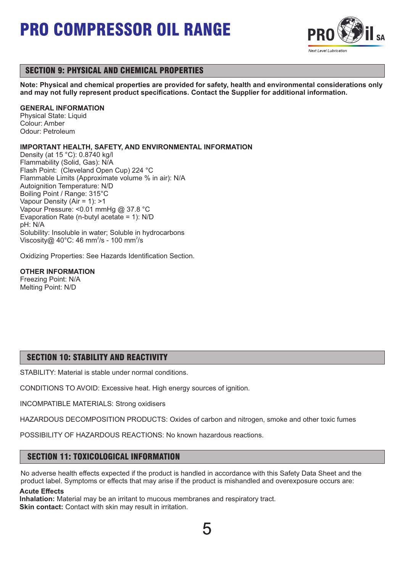

## SECTION 9: PHYSICAL AND CHEMICAL PROPERTIES

**Note: Physical and chemical properties are provided for safety, health and environmental considerations only and may not fully represent product specifications. Contact the Supplier for additional information.**

#### **GENERAL INFORMATION**

Physical State: Liquid Colour: Amber Odour: Petroleum

#### **IMPORTANT HEALTH, SAFETY, AND ENVIRONMENTAL INFORMATION**

Density (at 15 °C): 0.8740 kg/l Flammability (Solid, Gas): N/A Flash Point: (Cleveland Open Cup) 224 °C Flammable Limits (Approximate volume % in air): N/A Autoignition Temperature: N/D Boiling Point / Range: 315°C Vapour Density (Air = 1): >1 Vapour Pressure: <0.01 mmHg @ 37.8 °C Evaporation Rate (n-butyl acetate = 1): N/D pH: N/A Solubility: Insoluble in water; Soluble in hydrocarbons Viscosity@ 40°C: 46 mm<sup>2</sup>/s - 100 mm<sup>2</sup>/s

Oxidizing Properties: See Hazards Identification Section.

#### **OTHER INFORMATION**

Freezing Point: N/A Melting Point: N/D

## SECTION 10: STABILITY AND REACTIVITY

STABILITY: Material is stable under normal conditions.

CONDITIONS TO AVOID: Excessive heat. High energy sources of ignition.

INCOMPATIBLE MATERIALS: Strong oxidisers

HAZARDOUS DECOMPOSITION PRODUCTS: Oxides of carbon and nitrogen, smoke and other toxic fumes

POSSIBILITY OF HAZARDOUS REACTIONS: No known hazardous reactions.

### SECTION 11: TOXICOLOGICAL INFORMATION

No adverse health effects expected if the product is handled in accordance with this Safety Data Sheet and the product label. Symptoms or effects that may arise if the product is mishandled and overexposure occurs are:

#### **Acute Effects**

**Inhalation:** Material may be an irritant to mucous membranes and respiratory tract. **Skin contact:** Contact with skin may result in irritation.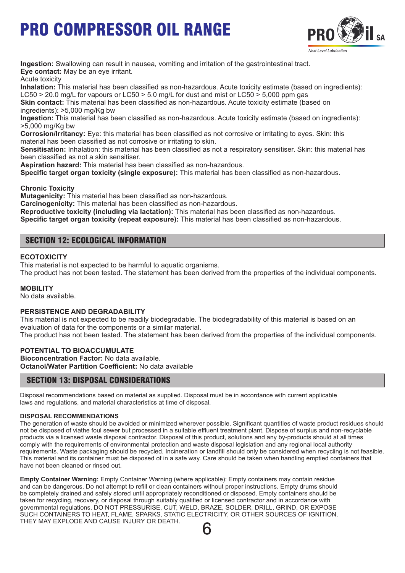

**Ingestion:** Swallowing can result in nausea, vomiting and irritation of the gastrointestinal tract. **Eye contact:** May be an eye irritant.

Acute toxicity

**Inhalation:** This material has been classified as non-hazardous. Acute toxicity estimate (based on ingredients): LC50  $>$  20.0 mg/L for vapours or LC50  $>$  5.0 mg/L for dust and mist or LC50  $>$  5,000 ppm gas

**Skin contact:** This material has been classified as non-hazardous. Acute toxicity estimate (based on ingredients): >5,000 mg/Kg bw

**Ingestion:** This material has been classified as non-hazardous. Acute toxicity estimate (based on ingredients): >5,000 mg/Kg bw

**Corrosion/Irritancy:** Eye: this material has been classified as not corrosive or irritating to eyes. Skin: this material has been classified as not corrosive or irritating to skin.

**Sensitisation:** Inhalation: this material has been classified as not a respiratory sensitiser. Skin: this material has been classified as not a skin sensitiser.

**Aspiration hazard:** This material has been classified as non-hazardous.

**Specific target organ toxicity (single exposure):** This material has been classified as non-hazardous.

**Chronic Toxicity**

**Mutagenicity:** This material has been classified as non-hazardous.

**Carcinogenicity:** This material has been classified as non-hazardous.

**Reproductive toxicity (including via lactation):** This material has been classified as non-hazardous.

**Specific target organ toxicity (repeat exposure):** This material has been classified as non-hazardous.

### SECTION 12: ECOLOGICAL INFORMATION

#### **ECOTOXICITY**

This material is not expected to be harmful to aquatic organisms.

The product has not been tested. The statement has been derived from the properties of the individual components.

#### **MOBILITY**

No data available.

#### **PERSISTENCE AND DEGRADABILITY**

This material is not expected to be readily biodegradable. The biodegradability of this material is based on an evaluation of data for the components or a similar material.

The product has not been tested. The statement has been derived from the properties of the individual components.

#### **POTENTIAL TO BIOACCUMULATE**

**Bioconcentration Factor:** No data available. **Octanol/Water Partition Coefficient:** No data available

### SECTION 13: DISPOSAL CONSIDERATIONS

Disposal recommendations based on material as supplied. Disposal must be in accordance with current applicable laws and regulations, and material characteristics at time of disposal.

#### **DISPOSAL RECOMMENDATIONS**

The generation of waste should be avoided or minimized wherever possible. Significant quantities of waste product residues should not be disposed of viathe foul sewer but processed in a suitable effluent treatment plant. Dispose of surplus and non-recyclable products via a licensed waste disposal contractor. Disposal of this product, solutions and any by-products should at all times comply with the requirements of environmental protection and waste disposal legislation and any regional local authority requirements. Waste packaging should be recycled. Incineration or landfill should only be considered when recycling is not feasible. This material and its container must be disposed of in a safe way. Care should be taken when handling emptied containers that have not been cleaned or rinsed out.

**Empty Container Warning:** Empty Container Warning (where applicable): Empty containers may contain residue and can be dangerous. Do not attempt to refill or clean containers without proper instructions. Empty drums should be completely drained and safely stored until appropriately reconditioned or disposed. Empty containers should be taken for recycling, recovery, or disposal through suitably qualified or licensed contractor and in accordance with governmental regulations. DO NOT PRESSURISE, CUT, WELD, BRAZE, SOLDER, DRILL, GRIND, OR EXPOSE SUCH CONTAINERS TO HEAT, FLAME, SPARKS, STATIC ELECTRICITY, OR OTHER SOURCES OF IGNITION. THEY MAY EXPLODE AND CAUSE INJURY OR DEATH.